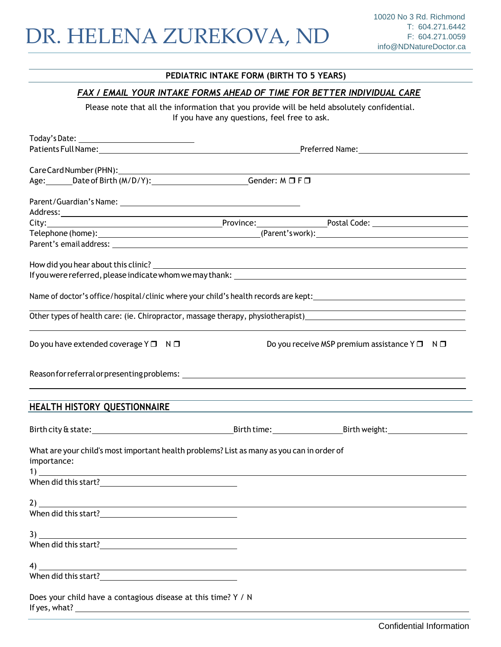#### **PEDIATRIC INTAKE FORM (BIRTH TO 5 YEARS)**

### *FAX / EMAIL YOUR INTAKE FORMS AHEAD OF TIME FOR BETTER INDIVIDUAL CARE*

Please note that all the information that you provide will be held absolutely confidential. If you have any questions, feel free to ask.

|                                                                                                                                                                                                                                | Preferred Name: The Second Second Second Second Second Second Second Second Second Second Second Second Second Second Second Second Second Second Second Second Second Second Second Second Second Second Second Second Second |  |  |  |  |
|--------------------------------------------------------------------------------------------------------------------------------------------------------------------------------------------------------------------------------|--------------------------------------------------------------------------------------------------------------------------------------------------------------------------------------------------------------------------------|--|--|--|--|
|                                                                                                                                                                                                                                |                                                                                                                                                                                                                                |  |  |  |  |
|                                                                                                                                                                                                                                |                                                                                                                                                                                                                                |  |  |  |  |
| Age: _______Date of Birth (M/D/Y): __________________________Gender: M □ F □                                                                                                                                                   |                                                                                                                                                                                                                                |  |  |  |  |
|                                                                                                                                                                                                                                |                                                                                                                                                                                                                                |  |  |  |  |
|                                                                                                                                                                                                                                |                                                                                                                                                                                                                                |  |  |  |  |
|                                                                                                                                                                                                                                |                                                                                                                                                                                                                                |  |  |  |  |
|                                                                                                                                                                                                                                |                                                                                                                                                                                                                                |  |  |  |  |
| Parent's email address: Note that the series of the series of the series of the series of the series of the series of the series of the series of the series of the series of the series of the series of the series of the se |                                                                                                                                                                                                                                |  |  |  |  |
|                                                                                                                                                                                                                                |                                                                                                                                                                                                                                |  |  |  |  |
|                                                                                                                                                                                                                                |                                                                                                                                                                                                                                |  |  |  |  |
|                                                                                                                                                                                                                                |                                                                                                                                                                                                                                |  |  |  |  |
|                                                                                                                                                                                                                                |                                                                                                                                                                                                                                |  |  |  |  |
| Do you have extended coverage $Y \Box \quad N \Box$                                                                                                                                                                            | Do you receive MSP premium assistance $Y \Box \neg N \Box$                                                                                                                                                                     |  |  |  |  |
|                                                                                                                                                                                                                                |                                                                                                                                                                                                                                |  |  |  |  |
| HEALTH HISTORY QUESTIONNAIRE THE CONTROL OF THE CONTROL OF THE CONTROL OF THE CONTROL OF THE CONTROL OF THE CO                                                                                                                 |                                                                                                                                                                                                                                |  |  |  |  |
|                                                                                                                                                                                                                                |                                                                                                                                                                                                                                |  |  |  |  |
| What are your child's most important health problems? List as many as you can in order of<br>importance:<br>1)                                                                                                                 |                                                                                                                                                                                                                                |  |  |  |  |
| When did this start? The contract of the contract of the contract of the contract of the contract of the contract of the contract of the contract of the contract of the contract of the contract of the contract of the contr |                                                                                                                                                                                                                                |  |  |  |  |
| and the control of the control of the control of the control of the control of the control of the control of the                                                                                                               |                                                                                                                                                                                                                                |  |  |  |  |
|                                                                                                                                                                                                                                |                                                                                                                                                                                                                                |  |  |  |  |
|                                                                                                                                                                                                                                |                                                                                                                                                                                                                                |  |  |  |  |
|                                                                                                                                                                                                                                |                                                                                                                                                                                                                                |  |  |  |  |
|                                                                                                                                                                                                                                |                                                                                                                                                                                                                                |  |  |  |  |
| $\left(4\right)$ $\overline{\phantom{a}}$                                                                                                                                                                                      |                                                                                                                                                                                                                                |  |  |  |  |
| Does your child have a contagious disease at this time? Y / N                                                                                                                                                                  |                                                                                                                                                                                                                                |  |  |  |  |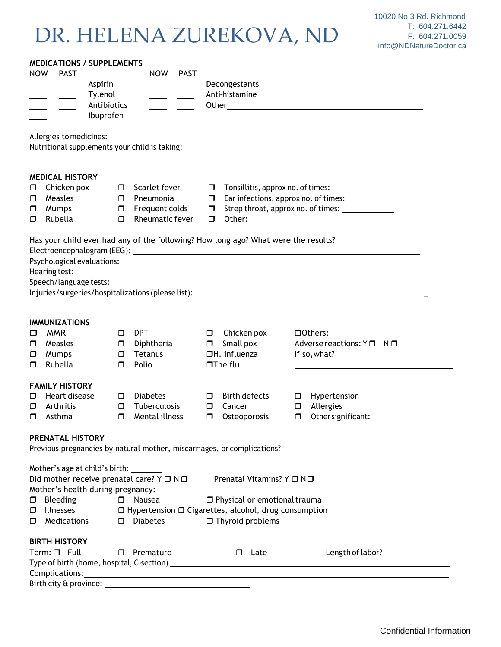## DR. HELENA ZUREKOVA, ND

|            |                                                                                      | <b>MEDICATIONS / SUPPLEMENTS</b>                        |        |                        |             |               |                                                                                                                      |                                                     |                                                                                                                                                                                                                                |  |  |
|------------|--------------------------------------------------------------------------------------|---------------------------------------------------------|--------|------------------------|-------------|---------------|----------------------------------------------------------------------------------------------------------------------|-----------------------------------------------------|--------------------------------------------------------------------------------------------------------------------------------------------------------------------------------------------------------------------------------|--|--|
| <b>NOW</b> |                                                                                      | <b>PAST</b>                                             |        | <b>NOW</b>             | <b>PAST</b> |               |                                                                                                                      |                                                     |                                                                                                                                                                                                                                |  |  |
|            |                                                                                      | Aspirin                                                 |        |                        |             | Decongestants |                                                                                                                      |                                                     |                                                                                                                                                                                                                                |  |  |
|            |                                                                                      | Tylenol                                                 |        |                        |             |               | Anti-histamine                                                                                                       |                                                     |                                                                                                                                                                                                                                |  |  |
|            |                                                                                      | Antibiotics                                             |        |                        |             |               |                                                                                                                      |                                                     |                                                                                                                                                                                                                                |  |  |
|            |                                                                                      | Ibuprofen                                               |        |                        |             |               |                                                                                                                      |                                                     |                                                                                                                                                                                                                                |  |  |
|            |                                                                                      | Allergies to medicines: _                               |        |                        |             |               | <u> 1980 - Johann Barn, amerikan besteman besteman besteman besteman besteman besteman besteman besteman bestema</u> |                                                     |                                                                                                                                                                                                                                |  |  |
|            |                                                                                      |                                                         |        |                        |             |               |                                                                                                                      |                                                     |                                                                                                                                                                                                                                |  |  |
|            |                                                                                      | <b>MEDICAL HISTORY</b>                                  |        |                        |             |               |                                                                                                                      |                                                     |                                                                                                                                                                                                                                |  |  |
| σ          |                                                                                      | Chicken pox                                             |        | $\Box$ Scarlet fever   |             | $\Box$        |                                                                                                                      | Tonsillitis, approx no. of times: _________________ |                                                                                                                                                                                                                                |  |  |
| σ          |                                                                                      | Measles                                                 | $\Box$ | Pneumonia              |             | $\Box$        |                                                                                                                      | Ear infections, approx no. of times: ___________    |                                                                                                                                                                                                                                |  |  |
| □          |                                                                                      | Mumps                                                   |        | $\Box$ Frequent colds  |             | $\Box$        |                                                                                                                      |                                                     |                                                                                                                                                                                                                                |  |  |
| ◻          |                                                                                      | Rubella                                                 |        | $\Box$ Rheumatic fever |             | $\Box$        |                                                                                                                      |                                                     |                                                                                                                                                                                                                                |  |  |
|            |                                                                                      |                                                         |        |                        |             |               | Has your child ever had any of the following? How long ago? What were the results?                                   |                                                     |                                                                                                                                                                                                                                |  |  |
|            |                                                                                      |                                                         |        |                        |             |               |                                                                                                                      |                                                     |                                                                                                                                                                                                                                |  |  |
|            |                                                                                      | Hearing test:                                           |        |                        |             |               |                                                                                                                      |                                                     |                                                                                                                                                                                                                                |  |  |
|            |                                                                                      |                                                         |        |                        |             |               |                                                                                                                      |                                                     | <u> 1989 - Andrea Station Barbara, actor a component de la componentación de la componentación de la componentaci</u>                                                                                                          |  |  |
|            |                                                                                      |                                                         |        |                        |             |               |                                                                                                                      |                                                     | Injuries/surgeries/hospitalizations (please list): Notified that the control of the control of the control of the control of the control of the control of the control of the control of the control of the control of the con |  |  |
|            |                                                                                      |                                                         |        |                        |             |               |                                                                                                                      |                                                     |                                                                                                                                                                                                                                |  |  |
|            |                                                                                      | <b>IMMUNIZATIONS</b>                                    |        |                        |             |               |                                                                                                                      |                                                     |                                                                                                                                                                                                                                |  |  |
| $\Box$     |                                                                                      | <b>MMR</b>                                              | $\Box$ | DPT                    |             |               | $\Box$ Chicken pox                                                                                                   |                                                     | $\Box$ Others: $\Box$                                                                                                                                                                                                          |  |  |
| ◻          |                                                                                      | Measles                                                 | $\Box$ | Diphtheria             |             | $\Box$        | Small pox                                                                                                            |                                                     | Adverse reactions: $Y \Box \neg N \Box$                                                                                                                                                                                        |  |  |
| □          |                                                                                      | Mumps                                                   | $\Box$ | Tetanus                |             |               | $\Box H.$ influenza                                                                                                  |                                                     | If so, what? $\qquad \qquad$                                                                                                                                                                                                   |  |  |
| ◻          |                                                                                      | Rubella                                                 | $\Box$ | Polio                  |             |               | $\square$ The flu                                                                                                    |                                                     |                                                                                                                                                                                                                                |  |  |
|            |                                                                                      | <b>FAMILY HISTORY</b>                                   |        |                        |             |               |                                                                                                                      |                                                     |                                                                                                                                                                                                                                |  |  |
| ◻          |                                                                                      | Heart disease                                           | $\Box$ | <b>Diabetes</b>        |             | □             | Birth defects                                                                                                        | 0                                                   | Hypertension                                                                                                                                                                                                                   |  |  |
| ◻          |                                                                                      | Arthritis                                               | $\Box$ | Tuberculosis           |             | □             | Cancer                                                                                                               | $\Box$                                              | Allergies                                                                                                                                                                                                                      |  |  |
| □          |                                                                                      | Asthma                                                  | $\Box$ | Mental illness         |             | $\Box$        | Osteoporosis                                                                                                         | $\Box$                                              | Other significant: 1997                                                                                                                                                                                                        |  |  |
|            |                                                                                      | PRENATAL HISTORY                                        |        |                        |             |               |                                                                                                                      |                                                     |                                                                                                                                                                                                                                |  |  |
|            |                                                                                      |                                                         |        |                        |             |               |                                                                                                                      |                                                     | Previous pregnancies by natural mother, miscarriages, or complications? ____________________________                                                                                                                           |  |  |
|            |                                                                                      | Mother's age at child's birth:                          |        |                        |             |               |                                                                                                                      |                                                     |                                                                                                                                                                                                                                |  |  |
|            |                                                                                      | Did mother receive prenatal care? $Y \square N \square$ |        |                        |             |               | Prenatal Vitamins? Y □ N□                                                                                            |                                                     |                                                                                                                                                                                                                                |  |  |
|            |                                                                                      | Mother's health during pregnancy:                       |        |                        |             |               |                                                                                                                      |                                                     |                                                                                                                                                                                                                                |  |  |
|            |                                                                                      | $\Box$ Bleeding                                         |        | $\Box$ Nausea          |             |               | $\Box$ Physical or emotional trauma                                                                                  |                                                     |                                                                                                                                                                                                                                |  |  |
| □          | <b>Illnesses</b><br>$\Box$ Hypertension $\Box$ Cigarettes, alcohol, drug consumption |                                                         |        |                        |             |               |                                                                                                                      |                                                     |                                                                                                                                                                                                                                |  |  |
| ◻          |                                                                                      | Medications                                             |        | $\square$ Diabetes     |             |               | $\Box$ Thyroid problems                                                                                              |                                                     |                                                                                                                                                                                                                                |  |  |
|            |                                                                                      | <b>BIRTH HISTORY</b>                                    |        |                        |             |               |                                                                                                                      |                                                     |                                                                                                                                                                                                                                |  |  |
|            |                                                                                      | $Term: \Box$ Full                                       |        | $\Box$ Premature       |             |               | Late<br>$\Box$                                                                                                       |                                                     | Length of labor?<br><u>Length of labor</u> ?                                                                                                                                                                                   |  |  |
|            |                                                                                      |                                                         |        |                        |             |               |                                                                                                                      |                                                     |                                                                                                                                                                                                                                |  |  |
|            |                                                                                      | Complications:                                          |        |                        |             |               |                                                                                                                      |                                                     |                                                                                                                                                                                                                                |  |  |
|            |                                                                                      | Birth city & province:                                  |        |                        |             |               |                                                                                                                      |                                                     |                                                                                                                                                                                                                                |  |  |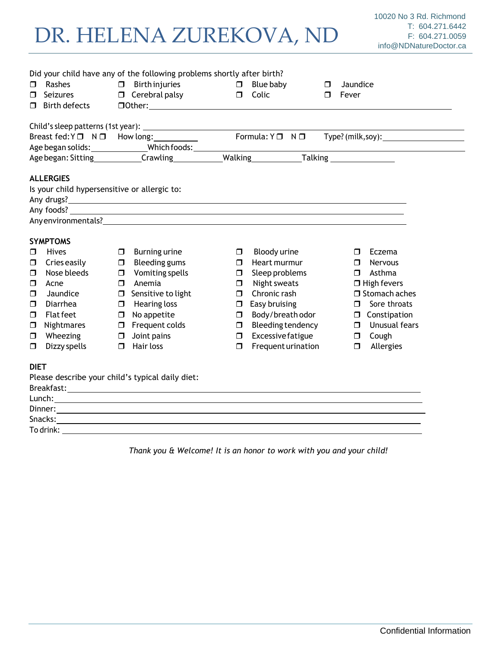# DR. HELENA ZUREKOVA, ND

| $\Box$<br>$\Box$<br>□                                                                                                                                                              | Rashes<br><b>Seizures</b><br><b>Birth defects</b>                 |        | Did your child have any of the following problems shortly after birth?<br>$\Box$ Birth injuries<br>$\Box$ Cerebral palsy | $\Box$<br>$\Box$ | Blue baby<br>Colic | □<br>$\Box$ | Jaundice<br>Fever      |  |
|------------------------------------------------------------------------------------------------------------------------------------------------------------------------------------|-------------------------------------------------------------------|--------|--------------------------------------------------------------------------------------------------------------------------|------------------|--------------------|-------------|------------------------|--|
|                                                                                                                                                                                    |                                                                   |        |                                                                                                                          |                  |                    |             |                        |  |
|                                                                                                                                                                                    | Formula: $Y \Box N \Box$<br>Breast fed: Y□ N□ How long: _________ |        |                                                                                                                          |                  |                    |             |                        |  |
|                                                                                                                                                                                    |                                                                   |        | Age began solids: _________________Which foods: ________________________________                                         |                  |                    |             |                        |  |
|                                                                                                                                                                                    |                                                                   |        | Age began: Sitting Crawling Malking Malking Talking                                                                      |                  |                    |             |                        |  |
| <b>ALLERGIES</b><br>Is your child hypersensitive or allergic to:<br>Any environmentals? Any of the contract of the contract of the contract of the contract of the contract of the |                                                                   |        |                                                                                                                          |                  |                    |             |                        |  |
|                                                                                                                                                                                    | <b>SYMPTOMS</b>                                                   |        |                                                                                                                          |                  |                    |             |                        |  |
| ◘                                                                                                                                                                                  | <b>Hives</b>                                                      | $\Box$ | Burning urine                                                                                                            | $\Box$           | Bloody urine       |             | Eczema<br>$\Box$       |  |
| $\Box$                                                                                                                                                                             | Cries easily                                                      | $\Box$ | Bleeding gums                                                                                                            | $\Box$           | Heart murmur       |             | Nervous<br>$\Box$      |  |
| σ                                                                                                                                                                                  | Nose bleeds                                                       | $\Box$ | Vomiting spells                                                                                                          | $\Box$           | Sleep problems     |             | Asthma<br>$\Box$       |  |
| σ                                                                                                                                                                                  | Acne                                                              | $\Box$ | Anemia                                                                                                                   | $\Box$           | Night sweats       |             | $\Box$ High fevers     |  |
| ◻                                                                                                                                                                                  | Jaundice                                                          | $\Box$ | Sensitive to light                                                                                                       | $\Box$           | Chronic rash       |             | $\Box$ Stomach aches   |  |
| □                                                                                                                                                                                  | Diarrhea                                                          | $\Box$ | Hearing loss                                                                                                             | $\Box$           | Easy bruising      |             | Sore throats<br>$\Box$ |  |
| $\Box$                                                                                                                                                                             | <b>Flat feet</b>                                                  | $\Box$ | No appetite                                                                                                              | $\Box$           | Body/breathodor    |             | $\Box$ Constipation    |  |
| $\Box$                                                                                                                                                                             | Nightmares                                                        |        | $\Box$ Frequent colds                                                                                                    | $\Box$           | Bleeding tendency  |             | $\Box$ Unusual fears   |  |
| ◘                                                                                                                                                                                  | Wheezing                                                          | $\Box$ | Joint pains                                                                                                              | $\Box$           | Excessive fatigue  |             | Cough<br>$\Box$        |  |
| □                                                                                                                                                                                  | Dizzy spells                                                      | $\Box$ | Hair loss                                                                                                                | $\Box$           | Frequent urination |             | Allergies<br>$\Box$    |  |
| <b>DIET</b>                                                                                                                                                                        | Please describe your child's typical daily diet:<br>Lunch:        |        |                                                                                                                          |                  |                    |             |                        |  |
|                                                                                                                                                                                    | To drink:                                                         |        |                                                                                                                          |                  |                    |             |                        |  |

*Thank you & Welcome! It is an honor to work with you and your child!*